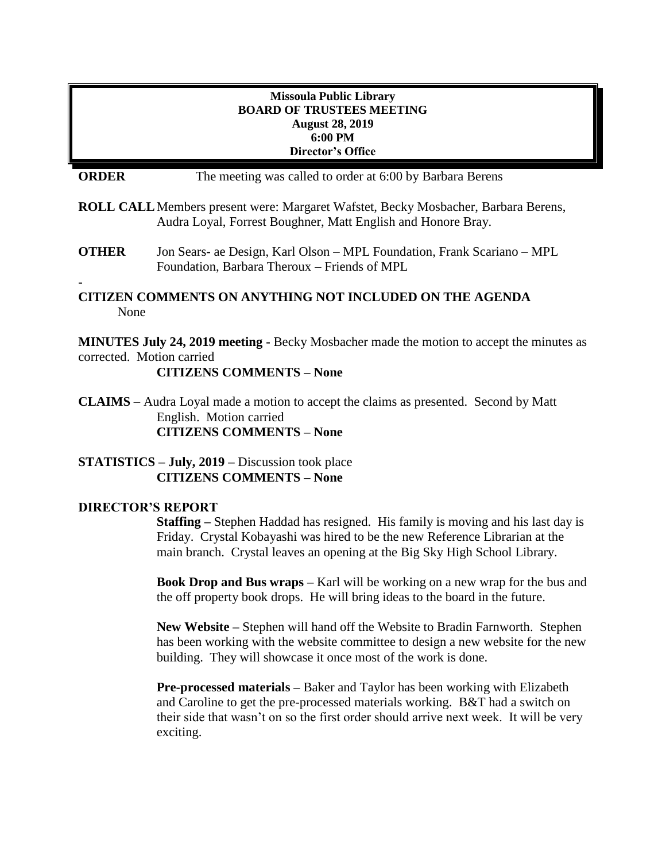# **Missoula Public Library BOARD OF TRUSTEES MEETING August 28, 2019 6:00 PM Director's Office ORDER** The meeting was called to order at 6:00 by Barbara Berens **ROLL CALL**Members present were: Margaret Wafstet, Becky Mosbacher, Barbara Berens, Audra Loyal, Forrest Boughner, Matt English and Honore Bray. **OTHER** Jon Sears- ae Design, Karl Olson – MPL Foundation, Frank Scariano – MPL Foundation, Barbara Theroux – Friends of MPL **- CITIZEN COMMENTS ON ANYTHING NOT INCLUDED ON THE AGENDA** None **MINUTES July 24, 2019 meeting -** Becky Mosbacher made the motion to accept the minutes as corrected. Motion carried **CITIZENS COMMENTS – None CLAIMS** – Audra Loyal made a motion to accept the claims as presented. Second by Matt English. Motion carried **CITIZENS COMMENTS – None STATISTICS – July, 2019 –** Discussion took place **CITIZENS COMMENTS – None DIRECTOR'S REPORT Staffing –** Stephen Haddad has resigned. His family is moving and his last day is Friday. Crystal Kobayashi was hired to be the new Reference Librarian at the main branch. Crystal leaves an opening at the Big Sky High School Library.

**Book Drop and Bus wraps –** Karl will be working on a new wrap for the bus and the off property book drops. He will bring ideas to the board in the future.

**New Website –** Stephen will hand off the Website to Bradin Farnworth. Stephen has been working with the website committee to design a new website for the new building. They will showcase it once most of the work is done.

**Pre-processed materials –** Baker and Taylor has been working with Elizabeth and Caroline to get the pre-processed materials working. B&T had a switch on their side that wasn't on so the first order should arrive next week. It will be very exciting.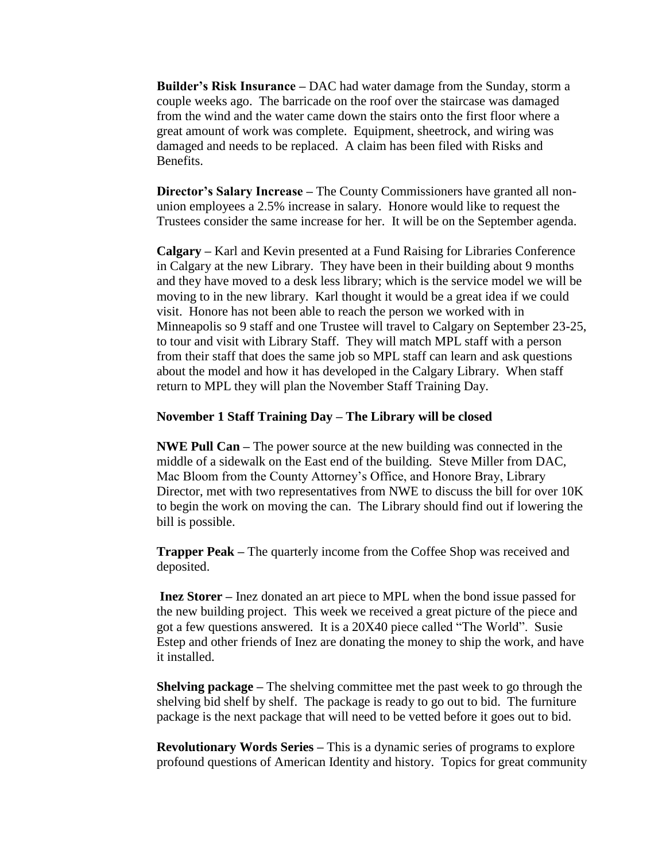**Builder's Risk Insurance –** DAC had water damage from the Sunday, storm a couple weeks ago. The barricade on the roof over the staircase was damaged from the wind and the water came down the stairs onto the first floor where a great amount of work was complete. Equipment, sheetrock, and wiring was damaged and needs to be replaced. A claim has been filed with Risks and Benefits.

**Director's Salary Increase –** The County Commissioners have granted all nonunion employees a 2.5% increase in salary. Honore would like to request the Trustees consider the same increase for her. It will be on the September agenda.

**Calgary –** Karl and Kevin presented at a Fund Raising for Libraries Conference in Calgary at the new Library. They have been in their building about 9 months and they have moved to a desk less library; which is the service model we will be moving to in the new library. Karl thought it would be a great idea if we could visit. Honore has not been able to reach the person we worked with in Minneapolis so 9 staff and one Trustee will travel to Calgary on September 23-25, to tour and visit with Library Staff. They will match MPL staff with a person from their staff that does the same job so MPL staff can learn and ask questions about the model and how it has developed in the Calgary Library. When staff return to MPL they will plan the November Staff Training Day.

### **November 1 Staff Training Day – The Library will be closed**

**NWE Pull Can –** The power source at the new building was connected in the middle of a sidewalk on the East end of the building. Steve Miller from DAC, Mac Bloom from the County Attorney's Office, and Honore Bray, Library Director, met with two representatives from NWE to discuss the bill for over 10K to begin the work on moving the can. The Library should find out if lowering the bill is possible.

**Trapper Peak –** The quarterly income from the Coffee Shop was received and deposited.

**Inez Storer –** Inez donated an art piece to MPL when the bond issue passed for the new building project. This week we received a great picture of the piece and got a few questions answered. It is a 20X40 piece called "The World". Susie Estep and other friends of Inez are donating the money to ship the work, and have it installed.

**Shelving package –** The shelving committee met the past week to go through the shelving bid shelf by shelf. The package is ready to go out to bid. The furniture package is the next package that will need to be vetted before it goes out to bid.

**Revolutionary Words Series –** This is a dynamic series of programs to explore profound questions of American Identity and history. Topics for great community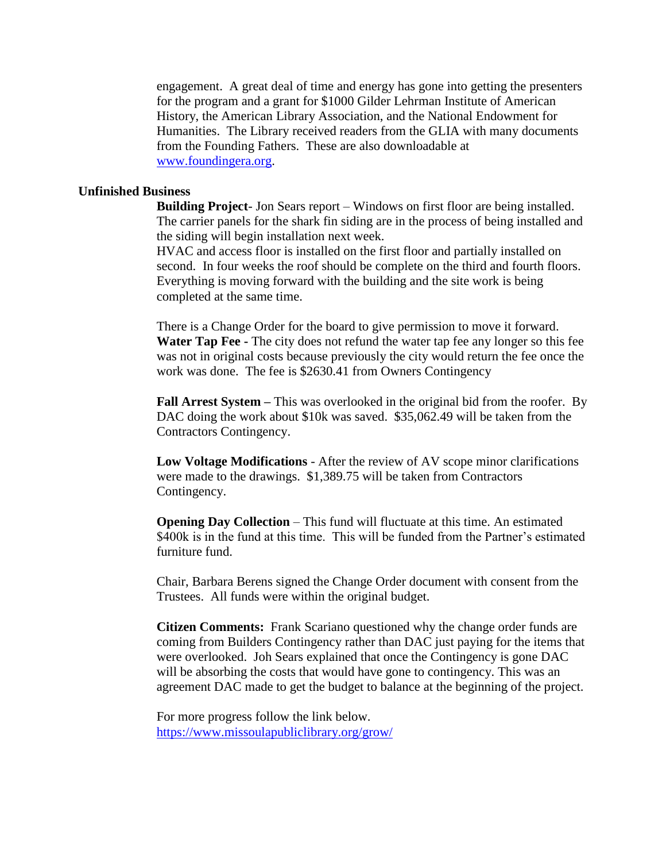engagement. A great deal of time and energy has gone into getting the presenters for the program and a grant for \$1000 Gilder Lehrman Institute of American History, the American Library Association, and the National Endowment for Humanities. The Library received readers from the GLIA with many documents from the Founding Fathers. These are also downloadable at [www.foundingera.org.](http://www.foundingera.org/)

#### **Unfinished Business**

**Building Project**- Jon Sears report – Windows on first floor are being installed. The carrier panels for the shark fin siding are in the process of being installed and the siding will begin installation next week.

HVAC and access floor is installed on the first floor and partially installed on second. In four weeks the roof should be complete on the third and fourth floors. Everything is moving forward with the building and the site work is being completed at the same time.

There is a Change Order for the board to give permission to move it forward. **Water Tap Fee -** The city does not refund the water tap fee any longer so this fee was not in original costs because previously the city would return the fee once the work was done. The fee is \$2630.41 from Owners Contingency

**Fall Arrest System –** This was overlooked in the original bid from the roofer. By DAC doing the work about \$10k was saved. \$35,062.49 will be taken from the Contractors Contingency.

**Low Voltage Modifications** - After the review of AV scope minor clarifications were made to the drawings. \$1,389.75 will be taken from Contractors Contingency.

**Opening Day Collection** – This fund will fluctuate at this time. An estimated \$400k is in the fund at this time. This will be funded from the Partner's estimated furniture fund.

Chair, Barbara Berens signed the Change Order document with consent from the Trustees. All funds were within the original budget.

**Citizen Comments:** Frank Scariano questioned why the change order funds are coming from Builders Contingency rather than DAC just paying for the items that were overlooked. Joh Sears explained that once the Contingency is gone DAC will be absorbing the costs that would have gone to contingency. This was an agreement DAC made to get the budget to balance at the beginning of the project.

For more progress follow the link below. <https://www.missoulapubliclibrary.org/grow/>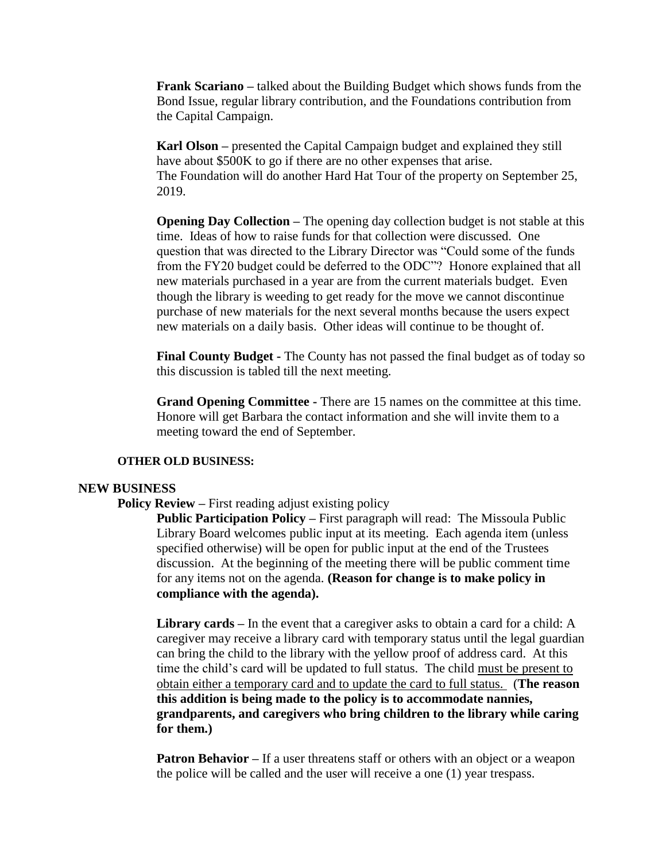**Frank Scariano –** talked about the Building Budget which shows funds from the Bond Issue, regular library contribution, and the Foundations contribution from the Capital Campaign.

**Karl Olson –** presented the Capital Campaign budget and explained they still have about \$500K to go if there are no other expenses that arise. The Foundation will do another Hard Hat Tour of the property on September 25, 2019.

**Opening Day Collection –** The opening day collection budget is not stable at this time. Ideas of how to raise funds for that collection were discussed. One question that was directed to the Library Director was "Could some of the funds from the FY20 budget could be deferred to the ODC"? Honore explained that all new materials purchased in a year are from the current materials budget. Even though the library is weeding to get ready for the move we cannot discontinue purchase of new materials for the next several months because the users expect new materials on a daily basis. Other ideas will continue to be thought of.

**Final County Budget -** The County has not passed the final budget as of today so this discussion is tabled till the next meeting.

**Grand Opening Committee -** There are 15 names on the committee at this time. Honore will get Barbara the contact information and she will invite them to a meeting toward the end of September.

#### **OTHER OLD BUSINESS:**

#### **NEW BUSINESS**

#### **Policy Review –** First reading adjust existing policy

**Public Participation Policy –** First paragraph will read: The Missoula Public Library Board welcomes public input at its meeting. Each agenda item (unless specified otherwise) will be open for public input at the end of the Trustees discussion. At the beginning of the meeting there will be public comment time for any items not on the agenda. **(Reason for change is to make policy in compliance with the agenda).** 

**Library cards –** In the event that a caregiver asks to obtain a card for a child: A caregiver may receive a library card with temporary status until the legal guardian can bring the child to the library with the yellow proof of address card. At this time the child's card will be updated to full status. The child must be present to obtain either a temporary card and to update the card to full status. (**The reason this addition is being made to the policy is to accommodate nannies, grandparents, and caregivers who bring children to the library while caring for them.)**

**Patron Behavior** – If a user threatens staff or others with an object or a weapon the police will be called and the user will receive a one (1) year trespass.